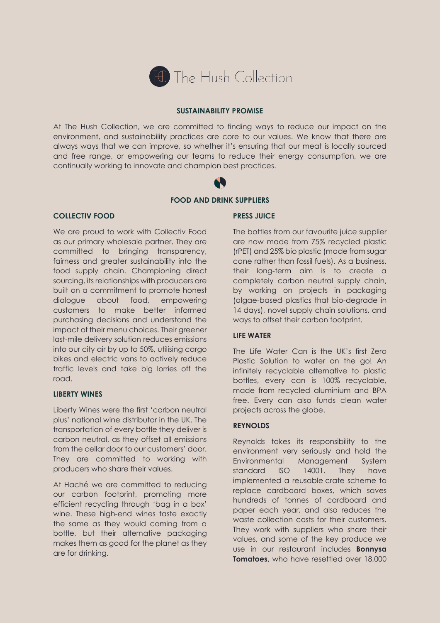

# **SUSTAINABILITY PROMISE**

At The Hush Collection, we are committed to finding ways to reduce our impact on the environment, and sustainability practices are core to our values. We know that there are always ways that we can improve, so whether it's ensuring that our meat is locally sourced and free range, or empowering our teams to reduce their energy consumption, we are continually working to innovate and champion best practices.

**FOOD AND DRINK SUPPLIERS**

# **COLLECTIV FOOD**

We are proud to work with Collectiv Food as our primary wholesale partner. They are committed to bringing transparency, fairness and greater sustainability into the food supply chain. Championing direct sourcing, its relationships with producers are built on a commitment to promote honest dialogue about food, empowering customers to make better informed purchasing decisions and understand the impact of their menu choices. Their greener last-mile delivery solution reduces emissions into our city air by up to 50%, utilising cargo bikes and electric vans to actively reduce traffic levels and take big lorries off the road.

# **LIBERTY WINES**

Liberty Wines were the first 'carbon neutral plus' national wine distributor in the UK. The transportation of every bottle they deliver is carbon neutral, as they offset all emissions from the cellar door to our customers' door. They are committed to working with producers who share their values.

At Haché we are committed to reducing our carbon footprint, promoting more efficient recycling through 'bag in a box' wine. These high-end wines taste exactly the same as they would coming from a bottle, but their alternative packaging makes them as good for the planet as they are for drinking.

#### **PRESS JUICE**

The bottles from our favourite juice supplier are now made from 75% recycled plastic (rPET) and 25% bio plastic (made from sugar cane rather than fossil fuels). As a business, their long-term aim is to create a completely carbon neutral supply chain, by working on projects in packaging (algae-based plastics that bio-degrade in 14 days), novel supply chain solutions, and ways to offset their carbon footprint.

# **LIFE WATER**

The Life Water Can is the UK's first Zero Plastic Solution to water on the go! An infinitely recyclable alternative to plastic bottles, every can is 100% recyclable, made from recycled aluminium and BPA free. Every can also funds clean water projects across the globe.

# **REYNOLDS**

Reynolds takes its responsibility to the environment very seriously and hold the Environmental Management System standard ISO 14001. They have implemented a reusable crate scheme to replace cardboard boxes, which saves hundreds of tonnes of cardboard and paper each year, and also reduces the waste collection costs for their customers. They work with suppliers who share their values, and some of the key produce we use in our restaurant includes **Bonnysa Tomatoes, who have resettled over 18,000**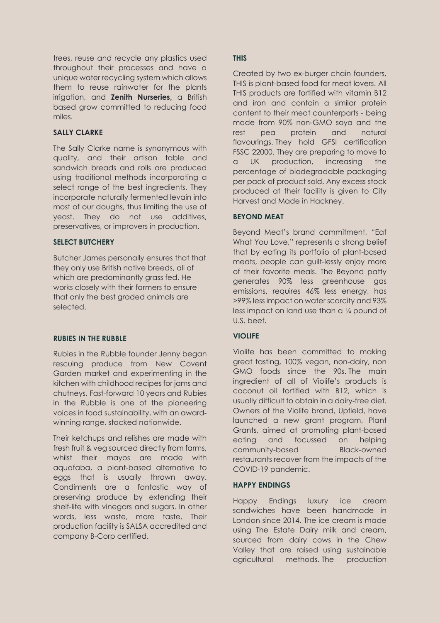trees, reuse and recycle any plastics used throughout their processes and have a unique water recycling system which allows them to reuse rainwater for the plants irrigation, and **Zenith Nurseries,** a British based grow committed to reducing food miles.

# **SALLY CLARKE**

The Sally Clarke name is synonymous with quality, and their artisan table and sandwich breads and rolls are produced using traditional methods incorporating a select range of the best ingredients. They incorporate naturally fermented levain into most of our doughs, thus limiting the use of yeast. They do not use additives, preservatives, or improvers in production.

# **SELECT BUTCHERY**

Butcher James personally ensures that that they only use British native breeds, all of which are predominantly grass fed. He works closely with their farmers to ensure that only the best graded animals are selected.

# **RUBIES IN THE RUBBLE**

Rubies in the Rubble founder Jenny began rescuing produce from New Covent Garden market and experimenting in the kitchen with childhood recipes for jams and chutneys. Fast-forward 10 years and Rubies in the Rubble is one of the pioneering voices in food sustainability, with an awardwinning range, stocked nationwide.

Their ketchups and relishes are made with fresh fruit & veg sourced directly from farms, whilst their mayos are made with aquafaba, a plant-based alternative to eggs that is usually thrown away. Condiments are a fantastic way of preserving produce by extending their shelf-life with vinegars and sugars. In other words, less waste, more taste. Their production facility is SALSA accredited and company B-Corp certified.

# **THIS**

Created by two ex-burger chain founders, THIS is plant-based food for meat lovers. All THIS products are fortified with vitamin B12 and iron and contain a similar protein content to their meat counterparts - being made from 90% non-GMO soya and the rest pea protein and natural flavourings. They hold GFSI certification FSSC 22000. They are preparing to move to a UK production, increasing the percentage of biodegradable packaging per pack of product sold. Any excess stock produced at their facility is given to City Harvest and Made in Hackney.

# **BEYOND MEAT**

Beyond Meat's brand commitment, "Eat What You Love," represents a strong belief that by eating its portfolio of plant-based meats, people can guilt-lessly enjoy more of their favorite meals. The Beyond patty generates 90% less greenhouse gas emissions, requires 46% less energy, has >99% less impact on water scarcity and 93% less impact on land use than a ¼ pound of U.S. beef.

# **VIOLIFE**

Violife has been committed to making great tasting, 100% vegan, non-dairy, non GMO foods since the 90s. The main ingredient of all of Violife's products is coconut oil fortified with B12, which is usually difficult to obtain in a dairy-free diet. Owners of the Violife brand, Upfield, have launched a new grant program, Plant Grants, aimed at promoting plant-based eating and focussed on helping community-based Black-owned restaurants recover from the impacts of the COVID-19 pandemic.

# **HAPPY ENDINGS**

Happy Endings luxury ice cream sandwiches have been handmade in London since 2014. The ice cream is made using The Estate Dairy milk and cream, sourced from dairy cows in the Chew Valley that are raised using sustainable agricultural methods. The production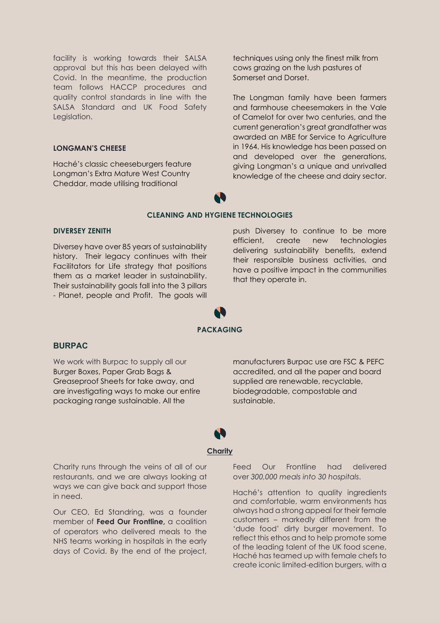facility is working towards their SALSA approval but this has been delayed with Covid. In the meantime, the production team follows HACCP procedures and quality control standards in line with the SALSA Standard and UK Food Safety Legislation.

#### **LONGMAN'S CHEESE**

Haché's classic cheeseburgers feature Longman's Extra Mature West Country Cheddar, made utilising traditional

techniques using only the finest milk from cows grazing on the lush pastures of Somerset and Dorset.

The Longman family have been farmers and farmhouse cheesemakers in the Vale of Camelot for over two centuries, and the current generation's great grandfather was awarded an MBE for Service to Agriculture in 1964. His knowledge has been passed on and developed over the generations, giving Longman's a unique and unrivalled knowledge of the cheese and dairy sector.

# **CLEANING AND HYGIENE TECHNOLOGIES**

#### **DIVERSEY ZENITH**

Diversey have over 85 years of sustainability history. Their legacy continues with their Facilitators for Life strategy that positions them as a market leader in sustainability. Their sustainability goals fall into the 3 pillars - Planet, people and Profit. The goals will

push Diversey to continue to be more efficient, create new technologies delivering sustainability benefits, extend their responsible business activities, and have a positive impact in the communities that they operate in.

# **PACKAGING**

#### **BURPAC**

We work with Burpac to supply all our Burger Boxes, Paper Grab Bags & Greaseproof Sheets for take away, and are investigating ways to make our entire packaging range sustainable. All the

manufacturers Burpac use are FSC & PEFC accredited, and all the paper and board supplied are renewable, recyclable, biodegradable, compostable and sustainable.

# **Charity**

Charity runs through the veins of all of our restaurants, and we are always looking at ways we can give back and support those in need.

Our CEO, Ed Standring, was a founder member of **Feed Our Frontline,** a coalition of operators who delivered meals to the NHS teams working in hospitals in the early days of Covid. By the end of the project,

Feed Our Frontline had delivered over *300,000 meals into 30 hospitals*.

Haché's attention to quality ingredients and comfortable, warm environments has always had a strong appeal for their female customers – markedly different from the 'dude food' dirty burger movement. To reflect this ethos and to help promote some of the leading talent of the UK food scene, Haché has teamed up with female chefs to create iconic limited-edition burgers, with a